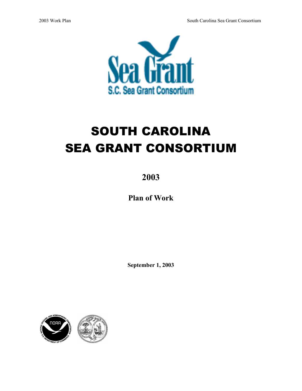2003 Work Plan South Carolina Sea Grant Consortium



# SOUTH CAROLINA SEA GRANT CONSORTIUM

**2003**

**Plan of Work**

**September 1, 2003**

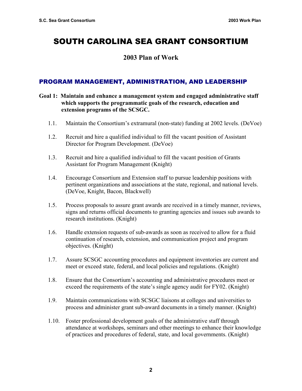# SOUTH CAROLINA SEA GRANT CONSORTIUM

# **2003 Plan of Work**

## PROGRAM MANAGEMENT, ADMINISTRATION, AND LEADERSHIP

#### **Goal 1: Maintain and enhance a management system and engaged administrative staff which supports the programmatic goals of the research, education and extension programs of the SCSGC.**

- 1.1. Maintain the Consortium's extramural (non-state) funding at 2002 levels. (DeVoe)
- 1.2. Recruit and hire a qualified individual to fill the vacant position of Assistant Director for Program Development. (DeVoe)
- 1.3. Recruit and hire a qualified individual to fill the vacant position of Grants Assistant for Program Management (Knight)
- 1.4. Encourage Consortium and Extension staff to pursue leadership positions with pertinent organizations and associations at the state, regional, and national levels. (DeVoe, Knight, Bacon, Blackwell)
- 1.5. Process proposals to assure grant awards are received in a timely manner, reviews, signs and returns official documents to granting agencies and issues sub awards to research institutions. (Knight)
- 1.6. Handle extension requests of sub-awards as soon as received to allow for a fluid continuation of research, extension, and communication project and program objectives. (Knight)
- 1.7. Assure SCSGC accounting procedures and equipment inventories are current and meet or exceed state, federal, and local policies and regulations. (Knight)
- 1.8. Ensure that the Consortium's accounting and administrative procedures meet or exceed the requirements of the state's single agency audit for FY02. (Knight)
- 1.9. Maintain communications with SCSGC liaisons at colleges and universities to process and administer grant sub-award documents in a timely manner. (Knight)
- 1.10. Foster professional development goals of the administrative staff through attendance at workshops, seminars and other meetings to enhance their knowledge of practices and procedures of federal, state, and local governments. (Knight)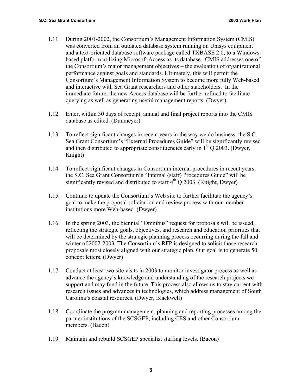- 1.11. During 2001-2002, the Consortium's Management Information System (CMIS) was converted from an outdated database system running on Unisys equipment and a text-oriented database software package called TXBASE 2.0, to a Windowsbased platform utilizing Microsoft Access as its database. CMIS addresses one of the Consortium's major management objectives – the evaluation of organizational performance against goals and standards. Ultimately, this will permit the Consortium's Management Information System to become more fully Web-based and interactive with Sea Grant researchers and other stakeholders. In the immediate future, the new Access database will be further refined to facilitate querying as well as generating useful management reports. (Dwyer)
- 1.12. Enter, within 30 days of receipt, annual and final project reports into the CMIS database as edited. (Dunmeyer)
- 1.13. To reflect significant changes in recent years in the way we do business, the S.C. Sea Grant Consortium's "External Procedures Guide" will be significantly revised and then distributed to appropriate constituencies early in  $1<sup>st</sup> Q 2003$ . (Dwyer, Knight)
- 1.14. To reflect significant changes in Consortium internal procedures in recent years, the S.C. Sea Grant Consortium's "Internal (staff) Procedures Guide" will be significantly revised and distributed to staff  $4<sup>th</sup>$  O 2003. (Knight, Dwyer)
- 1.15. Continue to update the Consortium's Web site to further facilitate the agency's goal to make the proposal solicitation and review process with our member institutions more Web-based. (Dwyer)
- 1.16. In the spring 2003, the biennial "Omnibus" request for proposals will be issued, reflecting the strategic goals, objectives, and research and education priorities that will be determined by the strategic planning process occurring during the fall and winter of 2002-2003. The Consortium's RFP is designed to solicit those research proposals most closely aligned with our strategic plan. Our goal is to generate 50 concept letters. (Dwyer)
- 1.17. Conduct at least two site visits in 2003 to monitor investigator process as well as advance the agency's knowledge and understanding of the research projects we support and may fund in the future. This process also allows us to stay current with research issues and advances in technologies, which address management of South Carolina's coastal resources. (Dwyer, Blackwell)
- 1.18. Coordinate the program management, planning and reporting processes among the partner institutions of the SCSGEP, including CES and other Consortium members. (Bacon)
- 1.19. Maintain and rebuild SCSGEP specialist staffing levels. (Bacon)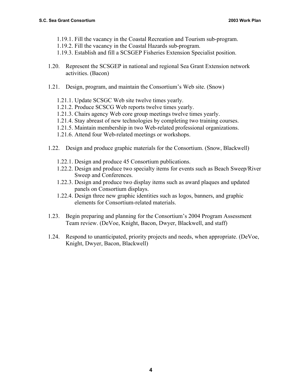- 1.19.1. Fill the vacancy in the Coastal Recreation and Tourism sub-program.
- 1.19.2. Fill the vacancy in the Coastal Hazards sub-program.
- 1.19.3. Establish and fill a SCSGEP Fisheries Extension Specialist position.
- 1.20. Represent the SCSGEP in national and regional Sea Grant Extension network activities. (Bacon)
- 1.21. Design, program, and maintain the Consortium's Web site. (Snow)
	- 1.21.1. Update SCSGC Web site twelve times yearly.
	- 1.21.2. Produce SCSCG Web reports twelve times yearly.
	- 1.21.3. Chairs agency Web core group meetings twelve times yearly.
	- 1.21.4. Stay abreast of new technologies by completing two training courses.
	- 1.21.5. Maintain membership in two Web-related professional organizations.
	- 1.21.6. Attend four Web-related meetings or workshops.
- 1.22. Design and produce graphic materials for the Consortium. (Snow, Blackwell)
	- 1.22.1. Design and produce 45 Consortium publications.
	- 1.22.2. Design and produce two specialty items for events such as Beach Sweep/River Sweep and Conferences.
	- 1.22.3. Design and produce two display items such as award plaques and updated panels on Consortium displays.
	- 1.22.4. Design three new graphic identities such as logos, banners, and graphic elements for Consortium-related materials.
- 1.23. Begin preparing and planning for the Consortium's 2004 Program Assessment Team review. (DeVoe, Knight, Bacon, Dwyer, Blackwell, and staff)
- 1.24. Respond to unanticipated, priority projects and needs, when appropriate. (DeVoe, Knight, Dwyer, Bacon, Blackwell)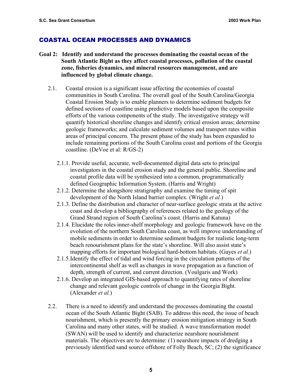# COASTAL OCEAN PROCESSES AND DYNAMICS

- **Goal 2: Identify and understand the processes dominating the coastal ocean of the South Atlantic Bight as they affect coastal processes, pollution of the coastal zone, fisheries dynamics, and mineral resources management, and are influenced by global climate change.**
	- 2.1. Coastal erosion is a significant issue affecting the economies of coastal communities in South Carolina. The overall goal of the South Carolina/Georgia Coastal Erosion Study is to enable planners to determine sediment budgets for defined sections of coastline using predictive models based upon the composite efforts of the various components of the study. The investigative strategy will quantify historical shoreline changes and identify critical erosion areas; determine geologic frameworks; and calculate sediment volumes and transport rates within areas of principal concern. The present phase of the study has been expanded to include remaining portions of the South Carolina coast and portions of the Georgia coastline. (DeVoe et al: R/GS-2)
		- 2.1.1. Provide useful, accurate, well-documented digital data sets to principal investigators in the coastal erosion study and the general public. Shoreline and coastal profile data will be synthesized into a common, programmatically defined Geographic Information System. (Harris and Wright)
		- 2.1.2. Determine the alongshore stratigraphy and examine the timing of spit development of the North Island barrier complex. (Wright *et al.*)
		- 2.1.3. Define the distribution and character of near-surface geologic strata at the active coast and develop a bibliography of references related to the geology of the Grand Strand region of South Carolina's coast. (Harris and Katuna)
		- 2.1.4. Elucidate the roles inner-shelf morphology and geologic framework have on the evolution of the northern South Carolina coast, as well improve understanding of mobile sediments in order to determine sediment budgets for realistic long-term beach renourishment plans for the state's shoreline. Will also assist state's mapping efforts for important biological hard-bottom habitats. (Gayes *et al.*)
		- 2.1.5.Identify the effect of tidal and wind forcing in the circulation patterns of the intercontinental shelf as well as changes in wave propagation as a function of depth, strength of current, and current direction. (Voulgaris and Work)
		- 2.1.6. Develop an integrated GIS-based approach to quantifying rates of shoreline change and relevant geologic controls of change in the Georgia Bight. (Alexander *et al.*)
	- 2.2. There is a need to identify and understand the processes dominating the coastal ocean of the South Atlantic Bight (SAB). To address this need, the issue of beach nourishment, which is presently the primary erosion mitigation strategy in South Carolina and many other states, will be studied. A wave transformation model (SWAN) will be used to identify and characterize nearshore nourishment materials. The objectives are to determine: (1) nearshore impacts of dredging a previously identified sand source offshore of Folly Beach, SC; (2) the significance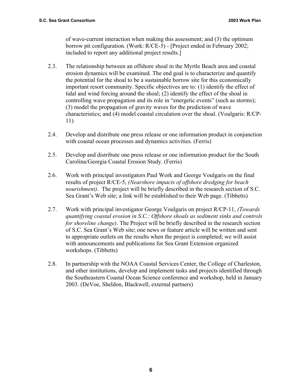of wave-current interaction when making this assessment; and (3) the optimum borrow pit configuration. (Work: R/CE-5) - [Project ended in February 2002; included to report any additional project results.]

- 2.3. The relationship between an offshore shoal in the Myrtle Beach area and coastal erosion dynamics will be examined. The end goal is to characterize and quantify the potential for the shoal to be a sustainable borrow site for this economically important resort community. Specific objectives are to: (1) identify the effect of tidal and wind forcing around the shoal; (2) identify the effect of the shoal in controlling wave propagation and its role in "energetic events" (such as storms); (3) model the propagation of gravity waves for the prediction of wave characteristics; and (4) model coastal circulation over the shoal. (Voulgaris: R/CP-11)
- 2.4. Develop and distribute one press release or one information product in conjunction with coastal ocean processes and dynamics activities. (Ferris)
- 2.5. Develop and distribute one press release or one information product for the South Carolina/Georgia Coastal Erosion Study. (Ferris)
- 2.6. Work with principal investigators Paul Work and George Voulgaris on the final results of project R/CE-5, *(Nearshore impacts of offshore dredging for beach nourishment)*. The project will be briefly described in the research section of S.C. Sea Grant's Web site; a link will be established to their Web page. (Tibbetts)
- 2.7. Work with principal investigator George Voulgaris on project R/CP-11, *(Towards quantifying coastal erosion in S.C.: Offshore shoals as sediment sinks and controls for shoreline change)*. The Project will be briefly described in the research section of S.C. Sea Grant's Web site; one news or feature article will be written and sent to appropriate outlets on the results when the project is completed; we will assist with announcements and publications for Sea Grant Extension organized workshops. (Tibbetts)
- 2.8. In partnership with the NOAA Coastal Services Center, the College of Charleston, and other institutions, develop and implement tasks and projects identified through the Southeastern Coastal Ocean Science conference and workshop, held in January 2003. (DeVoe, Sheldon, Blackwell, external partners)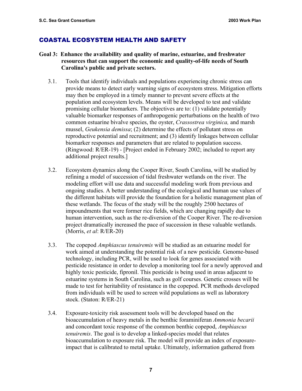# COASTAL ECOSYSTEM HEALTH AND SAFETY

- **Goal 3: Enhance the availability and quality of marine, estuarine, and freshwater resources that can support the economic and quality-of-life needs of South Carolina's public and private sectors.**
	- 3.1. Tools that identify individuals and populations experiencing chronic stress can provide means to detect early warning signs of ecosystem stress. Mitigation efforts may then be employed in a timely manner to prevent severe effects at the population and ecosystem levels. Means will be developed to test and validate promising cellular biomarkers. The objectives are to: (1) validate potentially valuable biomarker responses of anthropogenic perturbations on the health of two common estuarine bivalve species, the oyster, *Crassostrea virginica,* and marsh mussel, *Geukensia demissa*; (2) determine the effects of pollutant stress on reproductive potential and recruitment; and (3) identify linkages between cellular biomarker responses and parameters that are related to population success. (Ringwood: R/ER-19) - [Project ended in February 2002; included to report any additional project results.]
	- 3.2. Ecosystem dynamics along the Cooper River, South Carolina, will be studied by refining a model of succession of tidal freshwater wetlands on the river. The modeling effort will use data and successful modeling work from previous and ongoing studies. A better understanding of the ecological and human use values of the different habitats will provide the foundation for a holistic management plan of these wetlands. The focus of the study will be the roughly 2500 hectares of impoundments that were former rice fields, which are changing rapidly due to human intervention, such as the re-diversion of the Cooper River. The re-diversion project dramatically increased the pace of succession in these valuable wetlands. (Morris, *et al*: R/ER-20)
	- 3.3. The copepod *Amphiascus tenuiremis* will be studied as an estuarine model for work aimed at understanding the potential risk of a new pesticide. Genome-based technology, including PCR, will be used to look for genes associated with pesticide resistance in order to develop a monitoring tool for a newly approved and highly toxic pesticide, fipronil. This pesticide is being used in areas adjacent to estuarine systems in South Carolina, such as golf courses. Genetic crosses will be made to test for heritability of resistance in the copepod. PCR methods developed from individuals will be used to screen wild populations as well as laboratory stock. (Staton: R/ER-21)
	- 3.4. Exposure-toxicity risk assessment tools will be developed based on the bioaccumulation of heavy metals in the benthic foraminiferan *Ammonia becarii* and concordant toxic response of the common benthic copepod, *Amphiascus tenuiremis*. The goal is to develop a linked-species model that relates bioaccumulation to exposure risk. The model will provide an index of exposureimpact that is calibrated to metal uptake. Ultimately, information gathered from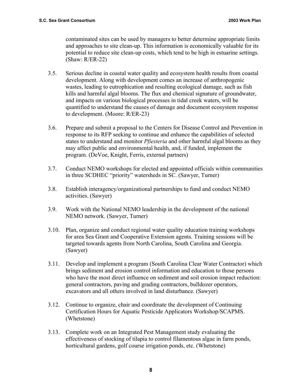contaminated sites can be used by managers to better determine appropriate limits and approaches to site clean-up. This information is economically valuable for its potential to reduce site clean-up costs, which tend to be high in estuarine settings. (Shaw: R/ER-22)

- 3.5. Serious decline in coastal water quality and ecosystem health results from coastal development. Along with development comes an increase of anthropogenic wastes, leading to eutrophication and resulting ecological damage, such as fish kills and harmful algal blooms. The flux and chemical signature of groundwater, and impacts on various biological processes in tidal creek waters, will be quantified to understand the causes of damage and document ecosystem response to development. (Moore: R/ER-23)
- 3.6. Prepare and submit a proposal to the Centers for Disease Control and Prevention in response to its RFP seeking to continue and enhance the capabilities of selected states to understand and monitor *Pfiesteria* and other harmful algal blooms as they may affect public and environmental health, and, if funded, implement the program. (DeVoe, Knight, Ferris, external partners)
- 3.7. Conduct NEMO workshops for elected and appointed officials within communities in three SCDHEC "priority" watersheds in SC. (Sawyer, Turner)
- 3.8. Establish interagency/organizational partnerships to fund and conduct NEMO activities. (Sawyer)
- 3.9. Work with the National NEMO leadership in the development of the national NEMO network. (Sawyer, Turner)
- 3.10. Plan, organize and conduct regional water quality education training workshops for area Sea Grant and Cooperative Extension agents. Training sessions will be targeted towards agents from North Carolina, South Carolina and Georgia. (Sawyer)
- 3.11. Develop and implement a program (South Carolina Clear Water Contractor) which brings sediment and erosion control information and education to those persons who have the most direct influence on sediment and soil erosion impact reduction: general contractors, paving and grading contractors, bulldozer operators, excavators and all others involved in land disturbance. (Sawyer)
- 3.12. Continue to organize, chair and coordinate the development of Continuing Certification Hours for Aquatic Pesticide Applicators Workshop/SCAPMS. (Whetstone)
- 3.13. Complete work on an Integrated Pest Management study evaluating the effectiveness of stocking of tilapia to control filamentous algae in farm ponds, horticultural gardens, golf course irrigation ponds, etc. (Whetstone)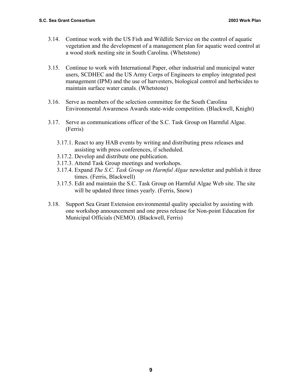- 3.14. Continue work with the US Fish and Wildlife Service on the control of aquatic vegetation and the development of a management plan for aquatic weed control at a wood stork nesting site in South Carolina. (Whetstone)
- 3.15. Continue to work with International Paper, other industrial and municipal water users, SCDHEC and the US Army Corps of Engineers to employ integrated pest management (IPM) and the use of harvesters, biological control and herbicides to maintain surface water canals. (Whetstone)
- 3.16. Serve as members of the selection committee for the South Carolina Environmental Awareness Awards state-wide competition. (Blackwell, Knight)
- 3.17. Serve as communications officer of the S.C. Task Group on Harmful Algae. (Ferris)
	- 3.17.1. React to any HAB events by writing and distributing press releases and assisting with press conferences, if scheduled.
	- 3.17.2. Develop and distribute one publication.
	- 3.17.3. Attend Task Group meetings and workshops.
	- 3.17.4. Expand *The S.C. Task Group on Harmful Algae* newsletter and publish it three times. (Ferris, Blackwell)
	- 3.17.5. Edit and maintain the S.C. Task Group on Harmful Algae Web site. The site will be updated three times yearly. (Ferris, Snow)
- 3.18. Support Sea Grant Extension environmental quality specialist by assisting with one workshop announcement and one press release for Non-point Education for Municipal Officials (NEMO). (Blackwell, Ferris)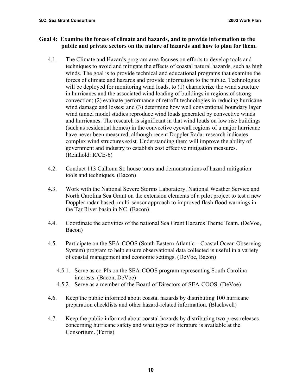#### **Goal 4: Examine the forces of climate and hazards, and to provide information to the public and private sectors on the nature of hazards and how to plan for them.**

- 4.1. The Climate and Hazards program area focuses on efforts to develop tools and techniques to avoid and mitigate the effects of coastal natural hazards, such as high winds. The goal is to provide technical and educational programs that examine the forces of climate and hazards and provide information to the public. Technologies will be deployed for monitoring wind loads, to (1) characterize the wind structure in hurricanes and the associated wind loading of buildings in regions of strong convection; (2) evaluate performance of retrofit technologies in reducing hurricane wind damage and losses; and (3) determine how well conventional boundary layer wind tunnel model studies reproduce wind loads generated by convective winds and hurricanes. The research is significant in that wind loads on low rise buildings (such as residential homes) in the convective eyewall regions of a major hurricane have never been measured, although recent Doppler Radar research indicates complex wind structures exist. Understanding them will improve the ability of government and industry to establish cost effective mitigation measures. (Reinhold: R/CE-6)
- 4.2. Conduct 113 Calhoun St. house tours and demonstrations of hazard mitigation tools and techniques. (Bacon)
- 4.3. Work with the National Severe Storms Laboratory, National Weather Service and North Carolina Sea Grant on the extension elements of a pilot project to test a new Doppler radar-based, multi-sensor approach to improved flash flood warnings in the Tar River basin in NC. (Bacon).
- 4.4. Coordinate the activities of the national Sea Grant Hazards Theme Team. (DeVoe, Bacon)
- 4.5. Participate on the SEA-COOS (South Eastern Atlantic Coastal Ocean Observing System) program to help ensure observational data collected is useful in a variety of coastal management and economic settings. (DeVoe, Bacon)
	- 4.5.1. Serve as co-PIs on the SEA-COOS program representing South Carolina interests. (Bacon, DeVoe)
	- 4.5.2. Serve as a member of the Board of Directors of SEA-COOS. (DeVoe)
- 4.6. Keep the public informed about coastal hazards by distributing 100 hurricane preparation checklists and other hazard-related information. (Blackwell)
- 4.7. Keep the public informed about coastal hazards by distributing two press releases concerning hurricane safety and what types of literature is available at the Consortium. (Ferris)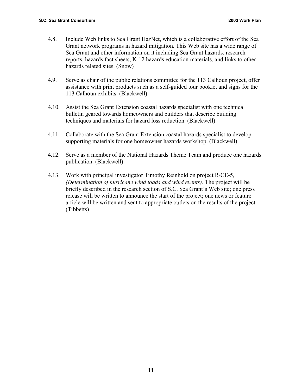- 4.8. Include Web links to Sea Grant HazNet, which is a collaborative effort of the Sea Grant network programs in hazard mitigation. This Web site has a wide range of Sea Grant and other information on it including Sea Grant hazards, research reports, hazards fact sheets, K-12 hazards education materials, and links to other hazards related sites. (Snow)
- 4.9. Serve as chair of the public relations committee for the 113 Calhoun project, offer assistance with print products such as a self-guided tour booklet and signs for the 113 Calhoun exhibits. (Blackwell)
- 4.10. Assist the Sea Grant Extension coastal hazards specialist with one technical bulletin geared towards homeowners and builders that describe building techniques and materials for hazard loss reduction. (Blackwell)
- 4.11. Collaborate with the Sea Grant Extension coastal hazards specialist to develop supporting materials for one homeowner hazards workshop. (Blackwell)
- 4.12. Serve as a member of the National Hazards Theme Team and produce one hazards publication. (Blackwell)
- 4.13. Work with principal investigator Timothy Reinhold on project R/CE-5*, (Determination of hurricane wind loads and wind events)*. The project will be briefly described in the research section of S.C. Sea Grant's Web site; one press release will be written to announce the start of the project; one news or feature article will be written and sent to appropriate outlets on the results of the project. (Tibbetts)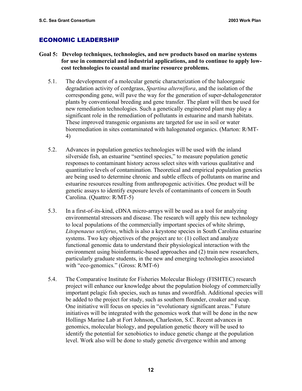## ECONOMIC LEADERSHIP

- **Goal 5: Develop techniques, technologies, and new products based on marine systems for use in commercial and industrial applications, and to continue to apply lowcost technologies to coastal and marine resource problems.**
	- 5.1. The development of a molecular genetic characterization of the haloorganic degradation activity of cordgrass, *Spartina alterniflora*, and the isolation of the corresponding gene, will pave the way for the generation of super-dehalogenerator plants by conventional breeding and gene transfer. The plant will then be used for new remediation technologies. Such a genetically engineered plant may play a significant role in the remediation of pollutants in estuarine and marsh habitats. These improved transgenic organisms are targeted for use in soil or water bioremediation in sites contaminated with halogenated organics. (Marton: R/MT-4)
	- 5.2. Advances in population genetics technologies will be used with the inland silverside fish, an estuarine "sentinel species," to measure population genetic responses to contaminant history across select sites with various qualitative and quantitative levels of contamination. Theoretical and empirical population genetics are being used to determine chronic and subtle effects of pollutants on marine and estuarine resources resulting from anthropogenic activities. One product will be genetic assays to identify exposure levels of contaminants of concern in South Carolina. (Quattro: R/MT-5)
	- 5.3. In a first-of-its-kind, cDNA micro-arrays will be used as a tool for analyzing environmental stressors and disease. The research will apply this new technology to local populations of the commercially important species of white shrimp, *Litopenaeus setiferus*, which is also a keystone species in South Carolina estuarine systems. Two key objectives of the project are to: (1) collect and analyze functional genomic data to understand their physiological interaction with the environment using bioinformatic-based approaches and (2) train new researchers, particularly graduate students, in the new and emerging technologies associated with "eco-genomics." (Gross: R/MT-6)
	- 5.4. The Comparative Institute for Fisheries Molecular Biology (FISHTEC) research project will enhance our knowledge about the population biology of commercially important pelagic fish species, such as tunas and swordfish. Additional species will be added to the project for study, such as southern flounder, croaker and scup. One initiative will focus on species in "evolutionary significant areas." Future initiatives will be integrated with the genomics work that will be done in the new Hollings Marine Lab at Fort Johnson, Charleston, S.C. Recent advances in genomics, molecular biology, and population genetic theory will be used to identify the potential for xenobiotics to induce genetic change at the population level. Work also will be done to study genetic divergence within and among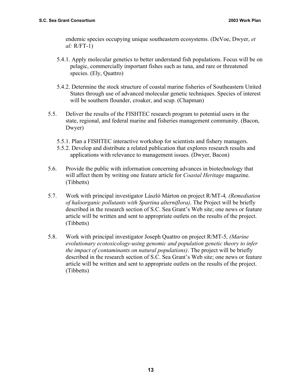endemic species occupying unique southeastern ecosystems. (DeVoe, Dwyer, *et al:* R/FT-1)

- 5.4.1. Apply molecular genetics to better understand fish populations. Focus will be on pelagic, commercially important fishes such as tuna, and rare or threatened species. (Ely, Quattro)
- 5.4.2. Determine the stock structure of coastal marine fisheries of Southeastern United States through use of advanced molecular genetic techniques. Species of interest will be southern flounder, croaker, and scup. (Chapman)
- 5.5. Deliver the results of the FISHTEC research program to potential users in the state, regional, and federal marine and fisheries management community. (Bacon, Dwyer)
	- 5.5.1. Plan a FISHTEC interactive workshop for scientists and fishery managers.
	- 5.5.2. Develop and distribute a related publication that explores research results and applications with relevance to management issues. (Dwyer, Bacon)
- 5.6. Provide the public with information concerning advances in biotechnology that will affect them by writing one feature article for *Coastal Heritage* magazine. (Tibbetts)
- 5.7. Work with principal investigator László Márton on project R/MT-4*, (Remediation of haloorganic pollutants with Spartina alterniflora)*. The Project will be briefly described in the research section of S.C. Sea Grant's Web site; one news or feature article will be written and sent to appropriate outlets on the results of the project. (Tibbetts)
- 5.8. Work with principal investigator Joseph Quattro on project R/MT-5*, (Marine evolutionary ecotoxicology-using genomic and population genetic theory to infer the impact of contaminants on natural populations)*. The project will be briefly described in the research section of S.C. Sea Grant's Web site; one news or feature article will be written and sent to appropriate outlets on the results of the project. (Tibbetts)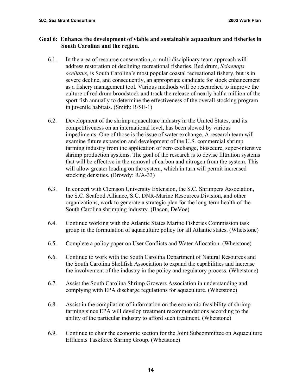#### **Goal 6: Enhance the development of viable and sustainable aquaculture and fisheries in South Carolina and the region.**

- 6.1. In the area of resource conservation, a multi-disciplinary team approach will address restoration of declining recreational fisheries. Red drum, *Sciaenops ocellatus,* is South Carolina's most popular coastal recreational fishery, but is in severe decline, and consequently, an appropriate candidate for stock enhancement as a fishery management tool. Various methods will be researched to improve the culture of red drum broodstock and track the release of nearly half a million of the sport fish annually to determine the effectiveness of the overall stocking program in juvenile habitats. (Smith: R/SE-1)
- 6.2. Development of the shrimp aquaculture industry in the United States, and its competitiveness on an international level, has been slowed by various impediments. One of those is the issue of water exchange. A research team will examine future expansion and development of the U.S. commercial shrimp farming industry from the application of zero exchange, biosecure, super-intensive shrimp production systems. The goal of the research is to devise filtration systems that will be effective in the removal of carbon and nitrogen from the system. This will allow greater loading on the system, which in turn will permit increased stocking densities. (Browdy: R/A-33)
- 6.3. In concert with Clemson University Extension, the S.C. Shrimpers Association, the S.C. Seafood Alliance, S.C. DNR-Marine Resources Division, and other organizations, work to generate a strategic plan for the long-term health of the South Carolina shrimping industry. (Bacon, DeVoe)
- 6.4. Continue working with the Atlantic States Marine Fisheries Commission task group in the formulation of aquaculture policy for all Atlantic states. (Whetstone)
- 6.5. Complete a policy paper on User Conflicts and Water Allocation. (Whetstone)
- 6.6. Continue to work with the South Carolina Department of Natural Resources and the South Carolina Shellfish Association to expand the capabilities and increase the involvement of the industry in the policy and regulatory process. (Whetstone)
- 6.7. Assist the South Carolina Shrimp Growers Association in understanding and complying with EPA discharge regulations for aquaculture. (Whetstone)
- 6.8. Assist in the compilation of information on the economic feasibility of shrimp farming since EPA will develop treatment recommendations according to the ability of the particular industry to afford such treatment. (Whetstone)
- 6.9. Continue to chair the economic section for the Joint Subcommittee on Aquaculture Effluents Taskforce Shrimp Group. (Whetstone)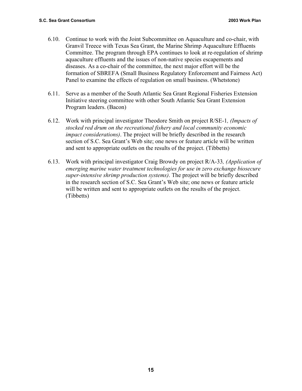- 6.10. Continue to work with the Joint Subcommittee on Aquaculture and co-chair, with Granvil Treece with Texas Sea Grant, the Marine Shrimp Aquaculture Effluents Committee. The program through EPA continues to look at re-regulation of shrimp aquaculture effluents and the issues of non-native species escapements and diseases. As a co-chair of the committee, the next major effort will be the formation of SBREFA (Small Business Regulatory Enforcement and Fairness Act) Panel to examine the effects of regulation on small business. (Whetstone)
- 6.11. Serve as a member of the South Atlantic Sea Grant Regional Fisheries Extension Initiative steering committee with other South Atlantic Sea Grant Extension Program leaders. (Bacon)
- 6.12. Work with principal investigator Theodore Smith on project R/SE-1*, (Impacts of stocked red drum on the recreational fishery and local community economic impact considerations)*. The project will be briefly described in the research section of S.C. Sea Grant's Web site; one news or feature article will be written and sent to appropriate outlets on the results of the project. (Tibbetts)
- 6.13. Work with principal investigator Craig Browdy on project R/A-33*, (Application of emerging marine water treatment technologies for use in zero exchange biosecure super-intensive shrimp production systems)*. The project will be briefly described in the research section of S.C. Sea Grant's Web site; one news or feature article will be written and sent to appropriate outlets on the results of the project. (Tibbetts)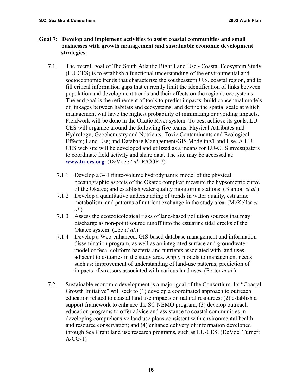#### **Goal 7: Develop and implement activities to assist coastal communities and small businesses with growth management and sustainable economic development strategies.**

- 7.1. The overall goal of The South Atlantic Bight Land Use Coastal Ecosystem Study (LU-CES) is to establish a functional understanding of the environmental and socioeconomic trends that characterize the southeastern U.S. coastal region, and to fill critical information gaps that currently limit the identification of links between population and development trends and their effects on the region's ecosystems. The end goal is the refinement of tools to predict impacts, build conceptual models of linkages between habitats and ecosystems, and define the spatial scale at which management will have the highest probability of minimizing or avoiding impacts. Fieldwork will be done in the Okatie River system. To best achieve its goals, LU-CES will organize around the following five teams: Physical Attributes and Hydrology; Geochemistry and Nutrients; Toxic Contaminants and Ecological Effects; Land Use; and Database Management/GIS Modeling/Land Use. A LU-CES web site will be developed and utilized as a means for LU-CES investigators to coordinate field activity and share data. The site may be accessed at: **www.lu-ces.org**. (DeVoe *et al:* R/COP-7)
	- 7.1.1 Develop a 3-D finite-volume hydrodynamic model of the physical oceanographic aspects of the Okatee complex; measure the hypsometric curve of the Okatee; and establish water quality monitoring stations. (Blanton *et al.*)
	- 7.1.2 Develop a quantitative understanding of trends in water quality, estuarine metabolism, and patterns of nutrient exchange in the study area. (McKellar *et al.*)
	- 7.1.3 Assess the ecotoxicological risks of land-based pollution sources that may discharge as non-point source runoff into the estuarine tidal creeks of the Okatee system. (Lee *et al.*)
	- 7.1.4 Develop a Web-enhanced, GIS-based database management and information dissemination program, as well as an integrated surface and groundwater model of fecal coliform bacteria and nutrients associated with land uses adjacent to estuaries in the study area. Apply models to management needs such as: improvement of understanding of land-use patterns; prediction of impacts of stressors associated with various land uses. (Porter *et al.*)
- 7.2. Sustainable economic development is a major goal of the Consortium. Its "Coastal Growth Initiative" will seek to (1) develop a coordinated approach to outreach education related to coastal land use impacts on natural resources; (2) establish a support framework to enhance the SC NEMO program; (3) develop outreach education programs to offer advice and assistance to coastal communities in developing comprehensive land use plans consistent with environmental health and resource conservation; and (4) enhance delivery of information developed through Sea Grant land use research programs, such as LU-CES. (DeVoe, Turner:  $A/CG-1$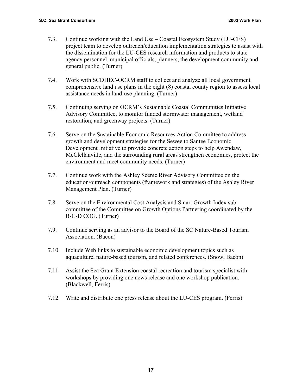- 7.3. Continue working with the Land Use Coastal Ecosystem Study (LU-CES) project team to develop outreach/education implementation strategies to assist with the dissemination for the LU-CES research information and products to state agency personnel, municipal officials, planners, the development community and general public. (Turner)
- 7.4. Work with SCDHEC-OCRM staff to collect and analyze all local government comprehensive land use plans in the eight (8) coastal county region to assess local assistance needs in land-use planning. (Turner)
- 7.5. Continuing serving on OCRM's Sustainable Coastal Communities Initiative Advisory Committee, to monitor funded stormwater management, wetland restoration, and greenway projects. (Turner)
- 7.6. Serve on the Sustainable Economic Resources Action Committee to address growth and development strategies for the Sewee to Santee Economic Development Initiative to provide concrete action steps to help Awendaw, McClellanville, and the surrounding rural areas strengthen economies, protect the environment and meet community needs. (Turner)
- 7.7. Continue work with the Ashley Scenic River Advisory Committee on the education/outreach components (framework and strategies) of the Ashley River Management Plan. (Turner)
- 7.8. Serve on the Environmental Cost Analysis and Smart Growth Index subcommittee of the Committee on Growth Options Partnering coordinated by the B-C-D COG. (Turner)
- 7.9. Continue serving as an advisor to the Board of the SC Nature-Based Tourism Association. (Bacon)
- 7.10. Include Web links to sustainable economic development topics such as aquaculture, nature-based tourism, and related conferences. (Snow, Bacon)
- 7.11. Assist the Sea Grant Extension coastal recreation and tourism specialist with workshops by providing one news release and one workshop publication. (Blackwell, Ferris)
- 7.12. Write and distribute one press release about the LU-CES program. (Ferris)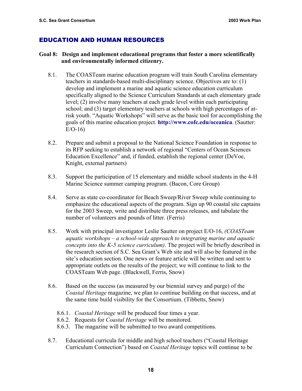# EDUCATION AND HUMAN RESOURCES

#### **Goal 8: Design and implement educational programs that foster a more scientifically and environmentally informed citizenry.**

- 8.1. The COASTeam marine education program will train South Carolina elementary teachers in standards-based multi-disciplinary science. Objectives are to: (1) develop and implement a marine and aquatic science education curriculum specifically aligned to the Science Curriculum Standards at each elementary grade level; (2) involve many teachers at each grade level within each participating school; and (3) target elementary teachers at schools with high percentages of atrisk youth. "Aquatic Workshops" will serve as the basic tool for accomplishing the goals of this marine education project. **http://www.cofc.edu/oceanica**. (Sautter:  $E/O-16$
- 8.2. Prepare and submit a proposal to the National Science Foundation in response to its RFP seeking to establish a network of regional "Centers of Ocean Sciences Education Excellence" and, if funded, establish the regional center (DeVoe, Knight, external partners)
- 8.3. Support the participation of 15 elementary and middle school students in the 4-H Marine Science summer camping program. (Bacon, Core Group)
- 8.4. Serve as state co-coordinator for Beach Sweep/River Sweep while continuing to emphasize the educational aspects of the program. Sign up 90 coastal site captains for the 2003 Sweep, write and distribute three press releases, and tabulate the number of volunteers and pounds of litter. (Ferris)
- 8.5. Work with principal investigator Leslie Sautter on project E/O-16, *(COASTeam aquatic workshops – a school-wide approach to integrating marine and aquatic concepts into the K-5 science curriculum)*. The project will be briefly described in the research section of S.C. Sea Grant's Web site and will also be featured in the site's education section. One news or feature article will be written and sent to appropriate outlets on the results of the project; we will continue to link to the COASTeam Web page. (Blackwell, Ferris, Snow)
- 8.6. Based on the success (as measured by our biennial survey and purge) of the *Coastal Heritage* magazine, we plan to continue building on that success, and at the same time build visibility for the Consortium. (Tibbetts, Snow)
	- 8.6.1. *Coastal Heritage* will be produced four times a year.
	- 8.6.2. Requests for *Coastal Heritage* will be monitored.
	- 8.6.3. The magazine will be submitted to two award competitions.
- 8.7. Educational curricula for middle and high school teachers ("Coastal Heritage Curriculum Connection") based on *Coastal Heritage* topics will continue to be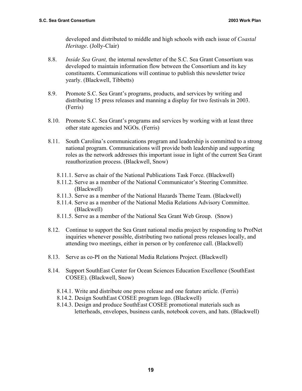developed and distributed to middle and high schools with each issue of *Coastal Heritage*. (Jolly-Clair)

- 8.8. *Inside Sea Grant,* the internal newsletter of the S.C. Sea Grant Consortium was developed to maintain information flow between the Consortium and its key constituents. Communications will continue to publish this newsletter twice yearly. (Blackwell, Tibbetts)
- 8.9. Promote S.C. Sea Grant's programs, products, and services by writing and distributing 15 press releases and manning a display for two festivals in 2003. (Ferris)
- 8.10. Promote S.C. Sea Grant's programs and services by working with at least three other state agencies and NGOs. (Ferris)
- 8.11. South Carolina's communications program and leadership is committed to a strong national program. Communications will provide both leadership and supporting roles as the network addresses this important issue in light of the current Sea Grant reauthorization process. (Blackwell, Snow)
	- 8.11.1. Serve as chair of the National Publications Task Force. (Blackwell)
	- 8.11.2. Serve as a member of the National Communicator's Steering Committee. (Blackwell)
	- 8.11.3. Serve as a member of the National Hazards Theme Team. (Blackwell)
	- 8.11.4. Serve as a member of the National Media Relations Advisory Committee. (Blackwell)
	- 8.11.5. Serve as a member of the National Sea Grant Web Group. (Snow)
- 8.12. Continue to support the Sea Grant national media project by responding to ProfNet inquiries whenever possible, distributing two national press releases locally, and attending two meetings, either in person or by conference call. (Blackwell)
- 8.13. Serve as co-PI on the National Media Relations Project. (Blackwell)
- 8.14. Support SouthEast Center for Ocean Sciences Education Excellence (SouthEast COSEE). (Blackwell, Snow)
	- 8.14.1. Write and distribute one press release and one feature article. (Ferris)
	- 8.14.2. Design SouthEast COSEE program logo. (Blackwell)
	- 8.14.3. Design and produce SouthEast COSEE promotional materials such as letterheads, envelopes, business cards, notebook covers, and hats. (Blackwell)